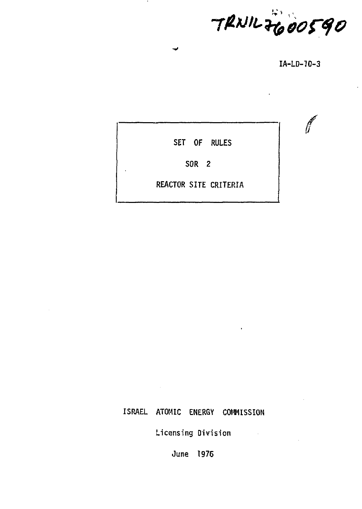

IA-LD-10-3

SET OF RULES

SOR 2

REACTOR SITE CRITERIA

ISRAEL ATOMIC ENERGY COMMISSION

Licensing Division

June 1976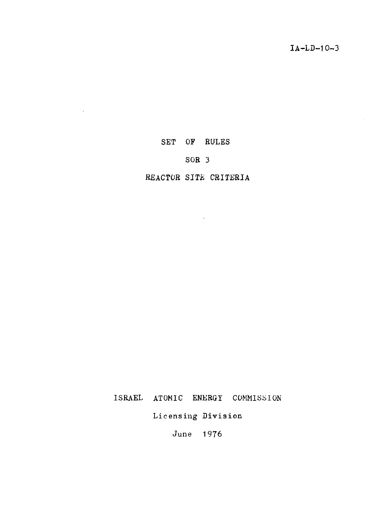### SET OF ROLES

 $\sim$ 

# SOR 3

REACTOR SITE CRITERIA

 $\sim$ 

ISRAEL ATOMIC ENER&T COMMISSION

Licensing Division

June 1976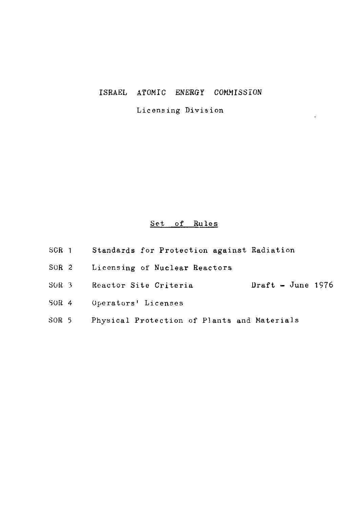# ISRAEL ATOMIC ENERGY COMMISSION

Licensing Division

 $\ddot{\phantom{a}}$ 

# Set of Rules

| SGR 1 | Standards for Protection against Radiation   |
|-------|----------------------------------------------|
| SOR 2 | Licensing of Nuclear Reactors                |
| SOR 3 | $Draff - June 1976$<br>Reactor Site Criteria |
| SOR 4 | Operators' Licenses                          |
| SOR 5 | Physical Protection of Plants and Materials  |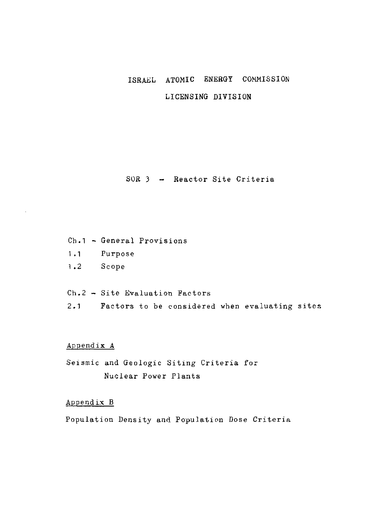# ISRAEL ATOMIC ENERGY COMMISSION

### LICENSING DIVISION

SOR 3 - Reactor Site Criteria

Ch.1 - General Provisions 1.1 Purpose 1.2 Scope

 $Ch.2 - Site$  Evaluation Factors 2.1 Factors to be considered when evaluating sites

### Appendix A

Seismic and Geologic Siting Criteria for Nuclear Power Plants

### Appendix B

Population Density and Population Dose Criteria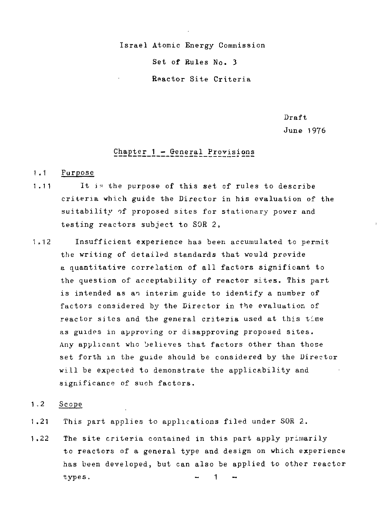Israel Atomic Energy Commission

Set of Rules No. 3

Raactor Site Criteria

Draft June 1976

## Chapter 1 - General Provisions

### 1 ,1 Purpose

- 1.11 It if the purpose of this set of rules to describe criteria which guide the Director in his evaluation of the suitability of proposed sites for stationary power and testing reactors subject to SOB 2.
- 1.12 Insufficient experience has been accumulated to permit the writing of detailed standards that would provide a quantitative correlation of all factors significant to the question of acceptability of reactor sites. This part is intended as an interim guide to identify a number of factors considered by the Director in the evaluation of reactor sites and the general criteria used at this time as guides in approving or disapproving proposed sites. Any applicant who believes that factors other than those set forth in the guide should be considered by the Director will be expected to demonstrate the applicability and significance of such factors.

### 1.2 Scope

- 1.21 This part applies to applications filed under SOE 2.
- 1.22 The site criteria contained in this part apply primarily to reactors of a general type and design on which experience has been developed, but can also be applied to other reactor  $types.$   $- 1$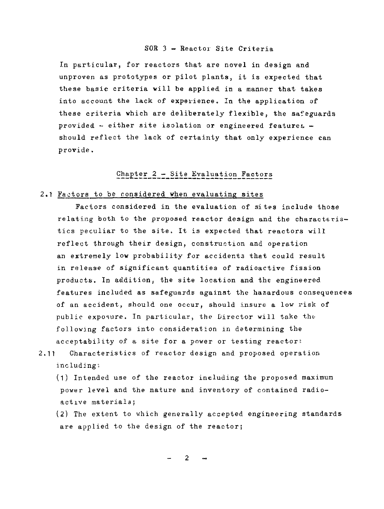### $SOR \rightarrow Reactor \, Site \, Criteria$

In particular, for reactors that are novel in design and unproven as prototypes or pilot plants, it is expected that these basic criteria will be applied in a manner that takes into account the lack of experience. In the application of these criteria which are deliberately flexible, the safeguards provided  $-$  either site isolation or engineered features  $$ should reflect the lack of certainty that only experience can provide.

### Chapter 2\_- Site Evaluation Factors

### 2.1 Factors to be considered when evaluating sites

Factors considered in the evaluation of sites include those relating both to the proposed reactor design and the characteristics peculiar to the site. It is expected that reactors will reflect through their design, construction and operation an extremely low probability for accidents that could result in release of significant quantities of radioactive fission products. In addition, the site location and the engineered features included as safeguards against the hazardous consequences of an accident, should one occur, should insure a low risk of public exposure. In particular, the Lirector will take the following factors into consideration in determining the acceptability of a site for a power or testing reactor:

- 2.11 Characteristics of reactor design and proposed operation including;
	- (1) Intended use of the reactor including the proposed maximum power level and the nature and inventory of contained radioactive materials;
	- (2) The extent to which generally accepted engineering standards are applied to the design of the reactor;

$$
-2 -
$$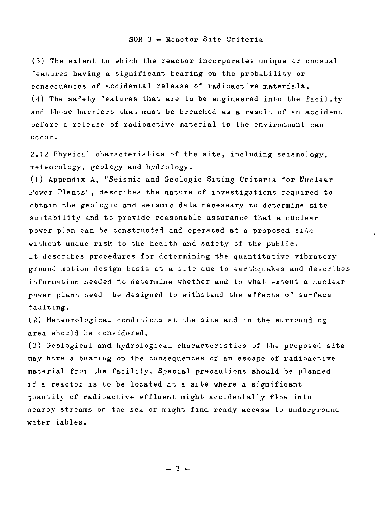(3) The extent to which the reactor incorporates unique or unusual features having a significant bearing on the probability or consequences of accidental release of radioactive materials. (4) The safety features that are to be engineered into the facility and those barriers that must be breached as a result of an accident before a release of radioactive material to the environment can occur.

2.12 Physical characteristics of the site, including seismology, meteorology, geology and hydrology.

(1) Appendix A, "Seismic and Geologic Siting Criteria for Nuclear Power Plants", describes the nature of investigations required to obtain the geologic and seismic data necessary to determine site suitability and to provide reasonable assurance that a nuclear power plan can be constructed and operated at a proposed site without undue risk to the health and safety of the public. It describes procedures for determining the quantitative vibratory ground motion design basis at a site due to earthquakes and describes information needed to determine whether and to what extent a nuclear power plant need be designed to withstand the effects of surface faulting.

(2) Meteorological conditions at the site and in the surrounding area should be considered.

(3) Geological and hydrological characteristics of the proposed site may have a bearing on the consequences of an escape of radioactive material from the facility. Special precautions should be planned if a reactor is to be located at a site where a significant quantity of radioactive effluent might accidentally flow into nearby streams or the sea or might find ready access to underground water tables.

 $-3 -$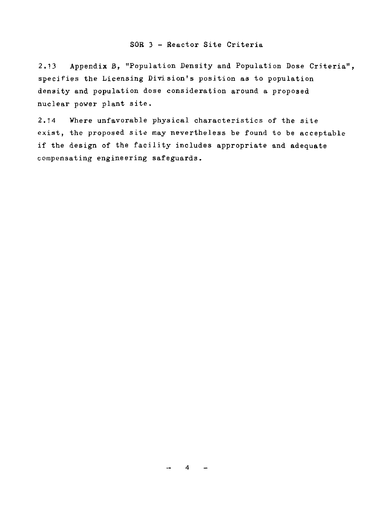### SOB 3 - Reactor Site Criteria

2.13 Appendix *B,* "Population Density and Population Dose Criteria", specifies the Licensing Division's position as to population density and population dose consideration around a proposed nuclear power plant site.

2.14 Vhere unfavorable physical characteristics of the site exist, the proposed site may nevertheless be found to be acceptable if the design of the facility includes appropriate and adequate compensating engineering safeguards.

> $\sim$ 4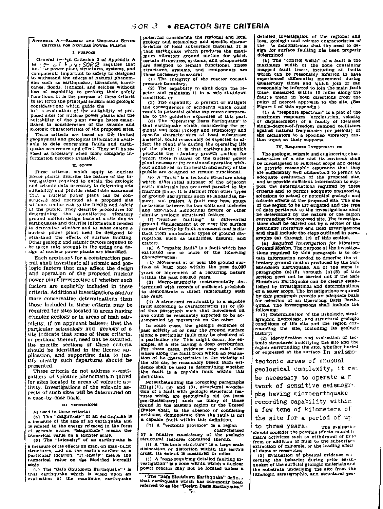#### APPENDIX A .- SEISMIC AND GEOLOGIC STILNG CRITERIA FOR NUCLEAR POWER PLANTS

#### I. PURPOSE

component: important to safety to designed to withstand the effects of natural phenomen such as earthquakes, tornadoes, hurri-canes, floods, tsunami, and seiches without loss of capability to perform their safety functions. It is the purpose of these criteris to set forth the principal selsinic and geologic considerations which guide the  $\ln \frac{1}{2}$  a evaluation of the suitability of pro-

posed sites for nuclear power plants and the suitability of the plant design hases established in consideration of the selamic and R-ologic characteristics of the proposed sites.

These criteria are based on the limited geophysical and geological information available to date concerning faults and earthquake occurrence and effect. They will be revised as necessary when more complete information becomes available.

#### IT. RCOPE

These criteria, which apply to nuclear power plants, describe the nature of the investigations required to obtain the geologic and seismic data necessary to determine site suitability and provide reasonable assurance that a nuclear power plant can be con-<br>structu and operated at a proposed site without undue risk to the health and safety where united the public. They describe procedures for<br>determining the quantitative vibratory<br>ground motion design basis at a site due to earthouskes and describe information needed to determine whether and to what extent a nuclear power plant need be designed to<br>withstand the effects of surface faulting. Other geologic and seismic factors required to be taken into account in the siting and design of nuclear power plants are identified.

Each applicant for a construction permit shall investigate all seismic and geologic factors that may affect the design and operation of the proposed nuclear power plant irrespective of whether such factors are explicitly included in these criteria. Additional investigations and/or more conservative determinations than those included in these criteria may be required for sites located in areas having complex geology or in areas of high seismicity. If an applicant believes that the particular seismology and geology of a site indicate that some of these criteria. or portions thereof, need not be satisfied. the specific sections of these criteria should be identified in the license application, and supporting data to justify clearly such departures should be presented.

These criteria do not address investigations of volcanic phenomena required for sites located in areas of volcanic a:tivity. Investigations of the volcanic aspects of such sites will be determined on a case-by-case basis.

#### III. DEFINITIONS

#### As used in these criteria:

(a) The "magnitude" of an earthquake is a measure of the size of an earthquake and a measure of the sherpy released in the form<br>of seismic waves. "Magnitude" means the<br>numerical value on a Richter reals.<br>numerical value on a Richter reals.

measure of its effects on man, on man-built structures, and on the earth's surface at a productive particular location. "It earsily" means the numerical value on the Modified Mercalli **ACALO** 

(c) The "Safe Shutdown Earthquake"' is that earthquake which is based upon an evaluation of the maximum earthquake

potential considering the regional and local geology and setsmology and specific characteristics of local subsurface material. It is that earthquake which produces the maximum vibratory ground motion for which cortain structures, systems, and components are designed to remain functional. These structures, systems, and components are those necessary to assure

(1) The integrity of the reactor coolant pressure boundary.

(2) The capability to shut down the reactor and maintain it in a safe shuidown condition, or

(3) The capability to prevent or mitigate<br>the consequences of accidents which could result in potential offsite exposures comparahis to the guideline exposures of this part.<br>(d) The "Operating Basis Earthquake" is

that earthquake which, considering the regional and local grology and selsmology and specific characteristics of local substitutes material, could reasonably be expected to affect the plant site during the operating life of the plant; it is that earthquake which produces the *v*-bratory growth motion for which those *f* atures of the nuclear power plant necessary for continued operation without undue risk to the bealth and safety of the public are designed to remain functional.

(e) A "failit" is a tectoric structure along which differential slippage of the adjacent earth materials has occurred parallel to the fracture plane. It is distinct from other types of ground disruptions such as landslides, fissures, and craters. A fault may have gouge or breccia between its two walls and includes any associated monoclinal flexure or other similar yeologic structural feature<br>(f) "Surface faulting" is di

is differential ground displacement at or near the surface caused directly by fault movement and is distinct irom nontectonic types of ground disruptions, such as landslides, fissures, and craters.

(g) A "capable fault" is a fault which has exhibited one or more of the following

(1) Movement at or near the ground sur-<br>face at least once within the past 35,000 viars or movement of a recurring nature within the past 500,000 years.<br>(2) Macro-seismicity instrumentally de-

termined with records of sufficient precision to demonstrate a direct relationship with the fault.

(3) A structural reintionship to a capable fault according to characteristics (1) or (2) of this paragraph such that movement one could be reasonably expected to be ac-

In some cases, the geologic evidence of past activity at or near the ground surface<br>along a particular fault may be obscured at a particular site. This might occur, for example, at a site baving a deep overburden.<br>For these cases, evidence may exist elsewhere along the fault from which an evaluation of its characteristics in the vicinity of the site can be reasonably based. Such evi-<br>dence ahall be used in determining whether the fault is a capable fault within this definition.

Notwithstanding the foregoing paragraphs notwiestanding and (3), structural association of a fault with geologic structural features<br>tion of a fault with geologic structural features<br>pre-Quaternary seconds-<br>pre-Quaternary auch as many of those found in the Eastern region of the United States shall, in the absence of conflicting evidence, demonstrate that the fault is not s capable fault within this definition.

(h) A "tectonic province" is a region characterized

by a relative consistency of the geologic structural features contained therein.

(i) A "tectonic structure" is a large scale dislocation or distortion within the earth's crust. Its extent is measured in miles.

(i) A "sons requiring detailed faulting investigation" is a zone within which a nuclear power reactor may not be located unless a

<sup>1</sup> The "Safe Shutdown Earthquake" define. that earthquake which has commonly been referred to as the "Design Basis Earthquake." detailed investigation of the regional and local geologic and selemnic characteristics of<br>the . te demonstrates that the need to design for surface faulting has been properly determined.

(k) The "control width" of a fault is the maximum width of the zone containing<br>mapped fault traces, including all faults which can be reasonably inferred to have experienced differential movement during Quaternary times and which join or can reasonably be inferred to join the main fault trace, measured within 10 miles slong the fault's trend in both directions from the point of nearest approach to the site. (See 'igure 1 of this appendix.)

(1) A "response spectrum" is a plot of the maximum responses (acceleration, velocity<br>or displacement) of a family of idealized single-degree-of-freedom damped oscillators against hatural frequencies (or periods) of tion input at their supports.

#### IV. REQUIRED INVESTIGATI NS

The geologic, selsmic and engineering characteristics of a site and its environs shall be investigated in sufficient scope and detail to provide reasonable assurance that they ATR. sufficiently well understood to permit an adequate evaluation of the proposed site,<br>and to provide sufficient information to support the determinations required by these criteria and to permit adequate engineering<br>solutions to actual or potential geologic and lamic effects at the proposed site. The size of the region to be inv stigated and the type of data pertinent to the investigations shall ined by the nature of the region be datari surrounding the proposed site. The investiga-<br>tions shall be carried out by a review of the pertinent literature and field investigations graphs (a) through (c) of this section.

(a) Required Investigation for Vibratory Ground Motion. The purpose of the investigations required by this paragraph is to obtain information needed to describe the vibratory ground motion produced by the Safe Shirtnown Earthquake, All of the steps in paragraphs  $(a)$   $(b)$  through  $(a)$   $(b)$  of this section need not be carried out if the Safe Shutdown Earthquake can be clearly established by investigations and determinations by this paragraph provide an adequate basis<br>for selection of an Operating Basis Earthquake. The investigations shall include the following:

(1) Determination of the lithologic, stratigraphic, hydrologic, and atructural geologic conditions of the site and the region surrounding the site, including its geologic history:

(2) Identification and evaluation of tectonic structures underlying the site and the region surrounding the site, whether buried<br>or expressed at the surface. In seismo-

tectonic areas of unusual

geological complexity, it may

be necessary to operate a n

twork of sensitive seismogra

phs having microearthquake

recording capability within

a few tens of kilometers of

the site for a period of up

to three years. The evaluation should consider the nossible effects caused in man's activities such as withdrawal of fluid from or addition of fluid to the subsurface

extraction of minerals, or the loading effect of dama or reservoirs:

(3) Evaluation of physical evidence co cerning the behavior during prior excliquakes of the surficial geologic materials and the substrata underlying the site from the lithologic, stratigraphic, and structural geo-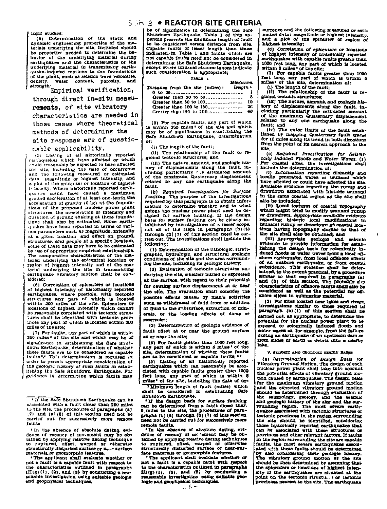### **3 • REACTOR SITE CRITERIA**

logic studies;

(4) Determination of the static and dynamic engineering properties of the materlals underlying the site. Included should be properties needed to determine tbe behavior of the underlying material during earthquakes and tbe characteristics of the underlying material in transmitting sarth-<br>quake-induced motions to the foundations of the plant, such as seismic wave velocities, water content, porosity,

strength Empirical verification, **Empirical verification, through direct in-aitu measurements,** *of* **site vibratory characteristics are needed** in those cases where theoretical<br>methods of determining the methods of determining **the**  site response **are** *of* questio-

nable applicability.<br>
(5) Listing of all historically reported<br>
raithquakes which have affected or which could reasonably be expected to have affected trio site, Including the date of occurrence and tlm following measured or estimated data magnitude or highest intensity, and a plot of the epicenter or location of highest )' ler.aity. Where historically reported earthqueres could have caused a maximum ground acceleration of at least one-tenth the acceleration of gravity (O.lg) at tbe foundations of the proposed nuclear power plant structures, the acceleration or intensity and duration of ground shaking at these foundations shall also be estimated. Since earthquakes have been reported In terms of various parameters such as magnitude. Intensity at a given location and effect on ground, at a given location, and enect on groups,<br>structures, and people at a specific location, by use of appropriate empirical relationships. by use of approprinte empirical relationships.<br>The comparative characteristics of the ma-<br>terial underlying the extension of the cat terial underlying the epicentral location or region of highest intensity and of the ma-<br>terial underlying the site in transmitting earthquake vibratory motion shall be con-<br>aidered:

(6) Correlation of epicenters or locations of highest intensity of historically reported earthquakes, where possible, with tectonic structures any part of which la located within 200 znUea of the site. Epicenters or locations of highest Intensity wulch cannot be reasonably correlated with tectonic struc-tures shall be Identified with tectonic provinces any part of which la located within 200 miles of the Bite;

i7) For faults, yiy part of which la within 200 miles' of the site and which may be of significance in sstablishing the Safe Shutdown Earthqu' ke, determination of whether<br>these faults are to be considered as capable faults.<sup>1</sup> , To?, determination Is required la order to permit appropriate consideration of the gooiofoc history *at ouch* faults In establishing tr.a Safe Shutdown Borthquake. Fur guidance in determining which faults may

materials or geomorphic features.<br>\*\* The applicant shall evaluate whether or<br>not a fault U a capable fault with respect to the characteristics outlined in paragraphs  $III(g)(1)$ , (2), and (8) by conducting a reasonable investigation using suitable geologic

be of significance In determining the Safe Shutdown Earthquake, Table 1 of this ap-pendix presents the minimum length of fault to be considered versus distance from site. Capable faults of leaser length than those indicated, m Table 1 and faults which are not capable faults need not be considered la determining the Safe Shutdown Earthquake. except *where* unusual circumstances Indicate such consideration la appropriate;

#### *TAJfLM* **1**

*Utntmum* 

|  |  | Distance from the site (miles): | -----------<br>Longth 1 |  |
|--|--|---------------------------------|-------------------------|--|
|  |  | 0 to 20                         |                         |  |

| Greater than 20 to 50      | в.  |
|----------------------------|-----|
| Greater than 50 to 100     | -10 |
|                            |     |
| Greater than 150 to 200 40 |     |

(8) For capable faults, any part of which Is within 200 miles \* of the site and which may be of significance In establishing the may be of significantly the chemication of:

(I) The length of the fault;

1

(II) The relationship of the fault to regional tectonic structures; and

(Hi) The nature, amount, and geologic history of displacements along the fault, in-<br>cluding particularly *f .a* estimated amount<br>of the maximum Quaternary displacement related to any one earthquake along the fault.

**<b)** *Required Investigation for Surface Faulting.* The purpose of the Investigations required by this paragraph Is to obtain Information to determine whether and to what extent the nuclear power plant need to signed for surface faulting. If the design-<br>basis for surface faulting can be clearly es-<br>not all of the steps in paragraphs (b)(4) through  $(b)(7)$  of this section need be carried out. The investigations shall include the rollowing:

(1) Determination of the lithologic, strati-(1) Determination of tbe Uthologic, etratl-grapblc, bydrtrloglc, and structural geologic the site, including its geologic history;

(2) Evaluation of tectonic structures underlying the site, whether buried or expressed at the surface, with regard to their potential for causing surface displacement at or near the site. The evaluation shall consider the possible effects caused by man's sotivities such as withdrawal of fluid from or addition of fluid to the subsurface, extraction of minerals, or the loading effects of dams or reservoirs;

(3) Determination of geologic evidence of fault offset at or near the ground surface at or near the site;

(4) For faults greater than 1000 feet long, any part of which is within 5 mules<sup>s</sup> of the site, determination of whether these faults; **\*\*** 

(5) Listing of all historically reported earthquakes which can reasonably be associated with capable faults greater than 1000 feet long, any part of which is within  $\delta$  miles' of the site, including the date of oc-

"Minimum length of fault (miles) which shull be considered in establishing Safe.<br>Shutdown Earthquake.

"If the design basis for surface faultlng can be determined from a fault closer than 6 mile\* to the atte, the procedure\* *of* para-graph\* (b) (4) through (b) (7) of this section need not be carried out *tor* successively more remote faults

'In the absence of absolute dating, evidence of recency of mc 'ement may be obtained by applying relative dating techniques<br>to ruptured, offset, warped or otherwise<br>structurally disturbed surface of near-surface materials or geomorphic features.<br>'The applicant shall evaluate whether or

not a fault is a capable fault with respect to the characteristics outlined in paragraphs  $III(g)(1), (2),$  and  $(8)$  by conducting a reasonable investigation using suitable geo-lock and geophysical techniques,

currence and the following measured or estimated data: magnitude ur highest intensity, and a plot of the epicenter or region of highest Intensity;

<6) Correlation of epicenters or locations of highest Intensity of historically reported earthquakes with capable faults greater than 1000 feet long, any part of which is located within 8 miles \* of the site:

(7) For capable faults greater than 1000 feet long, any part of which is within 6 miles\* of the site, determination of: (1) The length of the fault to re(1) The length of the fault to re-

gional tectonic structures;

*(til)* The nature, amount, and geologic hletory of displacements along the fault, in-cluding particularly the estimated amount of the maximum Quaternary displacement related to any one earthquake along the

fault; and the outer limits of the fault estab-<br>lished by mapping Quaternary fault traces<br>for IO miles along its trend in both directions from the point of its nearest approach to the eite.

**(cj** *Required investigation for Seismt-cailj/ Induced Floods and Water Waves.* **<l)**  Fur coastal sites, the tuvestigations shall Include the determination of:

(I) Information regarding distantly and locally generated waves or tsunami which have affected or could have affected the site. Available evidence regarding the runup and . drawdown associated with historic tsunami in the same coastal region as the alto shall also be included;

(II) Local features of coastal topography which might tend to modify tsunami runup or drawdown. Appropriate available evidence regarding historic local modifications in tsunami runup or drawdown as ooastai loca-tions having topography similar to that of the site shell also be obtained; and

(ill) Appropriate geologic and asinmio evidence to provide information for estab-lishing the design basis for seiamlcaily Induced floods or water waves from a local offshore earthquake, from local offshore effects of an onshore earthquake, or from coastal subsidence. This evidence ehmtl be- deter-mined, to the extent practical, by a procedure similar to that required in paragraphs (a) and (b) of this section. The probable ahn characteristics of offshore faults shall also be considered as well as the potential for off-

(2) For sites located near lakes and rivers. investigations similar to those required in paragraph (o)(1) of this section shall be carried out, as appropriate, to determine the potential for the nuclear power plant to be exposed to eeteralcally Induced floods and water waves as, for example, from the failure during an earthquake of an upstream dam or from slides of earth or debris into a nearby lake.

#### **V. BKXBMXC AND OSOLCOST DE83CN BARGS**

(a) Determination of Design Basis for **Vibratory Ground Motion**. The design of each nuclear power plant shall take into account the potential effects of vibratory ground motion caused by earthquakes. The design basis for the maximum vibratory ground motion and the expected vibratory ground motion should be determined through evaluation of should be determined dirough evaluation of the seismology, geology, and the estantic sur-<br>and geologic history of the alte and the sur-<br>rounding region. The most severe earthquakes associated with tectonic structures or tectonic provinces in the region surrounding the site should be Identified, considering these historically reported earthquakes that can be associated with these structures or and other relevant factors. provinces and other relevant factors. If faults faults, the most exception and other faults, the most environment of the most environment and the state of the most state of the state of the value of the state of the state sity of the earthquakes are mituated at the point on the tectoric structure or tectoric provinces nearest to the kite. The earthquake

<sup>&#</sup>x27; if the Safe Shutdown Earthquake can be an-ocialed with a fault closer than 200 miles to the site, the proceoures of paragraphs (a) *\1)* and (a)(8) of this section need not be carried out for successively more remote faults.

<sup>•</sup>In tbe absence of absolute dating, evidence *at* recency of movement may be obtained by applying rotative dating technique to ruptured, offset, warped or otherwise<br>structurally disturbed surface or Door surface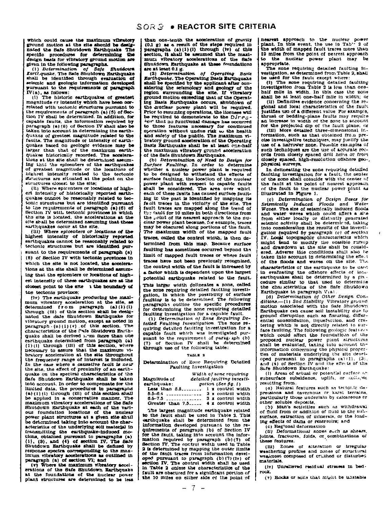which could cause the maximum vibratory ground motion at the should be desigground mother as the safe Earthquake The specific procedures for determining the design basis for vibratory ground motion are given In tbe following paragraphs.

(l) *Determination of Safe Shutdown*  Farthquake. The Safe Shutdown Earthquake shall be identified through evaluation of paragraph seismic and geologic information developed pursuant to the requirements of paragraph  $IV(a)$ , as follows:<br>(1) The historic

The historic earthquakes of greatest magnitude or intensity which have been correlated with tectoric structures pursuant to rclated with tectonic structures pursuant to<br>the requirements of paragraph (a) (3) of Section IV shall be determined. In addition, for capable faults, the Information required by paragraph (a) (6) of Section IV shall also be<br>taken into account in determining the earthquakes of greatest magnitude related to the faults. The magnitude or intensity of sarthfaults. Tbe magnitude or Intensity of earth-quakes based on geologic evldenoe may be quakes historically reported. The soccionslons at the site shall be determined assuming that the spicenters of the sarthquakes ing the '.he epicolures of the earthquakes of greatest magnitude or the locations of highest Intensity related to the tectonic structures are situated at the point on the structures clonest to the site. structures closest to the site;<br>(ii) Where epicenters or locations of high-

est intensity of historically reported sarthquakes cannot be ressonably related to teotonic structures but are identified pursuant to the requirements of paragraph (a)(6) of to the requirements of prograph fa) (6) of the site is located, the accelerations at the afte shall be determined assuming that thes sarthouskes occur at the site

•tarthquakes occur at the site. (iii) Where epicenters or locations of the highest intensity of historically reported tectonic structures but are identified pursuant to the requirements of paragraph (a) suant to the requirements of paragraph (a) (8) of Section IV with tectonic provinces in which the site is not located, the accelerations at the site shall be determined assuming that the epicenters or locations of highest intensity of these earthquakes are at the closest point to the sKe I the boundary of

(Iv) Tbe earthquake producing tbe maximum vibratory acceleration at the site, as determined from paragraph  $(a)$   $(1)$   $(1)$ <br>through  $(11)$  of this section stall be designated the dale Shutdown Earthquake for vibratory ground motion, except as noted In paragraph - (a) (l)(v) .of this section. The characteristics of the P\*fe Bhutdown Earthquake shall be derived *\.-mn* more than one earthquake determined from paragraph (a) (1)(1) through (111) of this section, where necessary to assure that the maximum vi-bratory acceleration at the site throughout the frequency range of Interest Is included. In the case where a causative fault is near tbe site, the effect of proximity of an earth-quake on the spectral characteristics of the Safe Shutdown Earthquake shall be taken into account. In order to compensate for tbe limited data, the procedures In paragraptis  $(4)(1)(1)$  through  $(11)$  of this section shall be applied in a conservative manner. The pe applied In a conservation of the Safe Shutdown Earthquake at each of the various foundation locations of the nuclear power plant structures at a given site ahall power plant structures at a given site ansumed taking into account the char-<br>be determined taking into account the chartransmitting the earthquake-induced motransmitting the earthquake-induced mo-<br>tions, obtained pursuant to paragraphs (a)<br>{1}, (9), and (4) of section IV. The Safe<br>Shutdown Earthcuake shall be defined by response spectra corresponding to the maximum vibratory accelerations as outlined in paragraph (a) of section VI; and

(v) Where the maximum vibratory accelver where the maximum views scont-<br>erations of the Safe Shutdown Earthquake at the foundations of the nuclear power<br>plant structurex are determined to be less

than one-tenth the acceleration of gravity (0.1 g) as a result of the steps required in paragraphs (s)(l)(l) through (lv) of this section. It shall be assumed that the maximum vibratory accelerations of the Safe Shutdown Earthquake at these foundations

are at least 0.1 g. (2) *Determination of Operating Bails Earthquake.* Tbe Operating Basis Earthquake shall be specified by the applicant after considering the seismology and geology of the region surrounding the site. If vibratory ground motion exceeding that of tbe Operating Basis Earthquake occurs, shutdown of the omclear power plant will be required. Prior to resuming operations, the licensee will be required to demonstrate to the *Direc-*<br>*<sup><i>tor</sup>* that no functional damage has occurred.</sup> to those features necessary for continued operation without undue risk w the health and safety of the public. Tbe maximum vi-bratory ground acceleration of the Operating Basis Earthquake shall be at least one-half the maximum vibratory ground acceleration of the Safe Shutdown Earthquake.

<b) *Determination of ffeod to Design for Surface Faulting.* In order to determine whether a nuclear power plant is required to be designed to withstand the effects of surface faulting, the location of the nuclear power plant with respect to capable faults power plant with respect to comparing respect sach of these raults has caused surface faulting in the past is identified by mapping its fault traces in the vicinity of the site. The racit traces in the vicinity of the site. The<br>fault traces are mapped along the trend of<br>the tault ter 10 miles in both directions from the point of its nearest approach to the nucioar power plant because, for example, traces clear power plant because, for example, traces may be obscured along portions of the fault. traces, called the control width, is then detraces, called the control width, Is then de-termined from this map. Became surface faulting has sometimes occurred beyond the limit of mapped fault traces or where fault traces have not been previously recognized, the control width of the fault Is increased by a factor which is dependent upon the largest potential earthquake related to the fault. This larger width delineates a zone, called ing many which the possibility is to be the possibility of surface extinction. In which the possibility of surface faulting is to be determined. The following paragraphy outline the specific procedures for determining the zone requiring detailed<br>faulting investigation for a capable fault.

(1) Determination of Zone Requiring De-<br> *fatted Faulting Investigation*. The zone re-<br>
quiring detailed faulting investigation for a capable fault whlrh was investigated pursuant to the requirement of paragaph  $(b)$ <br>(7) of Section IV shall be determined IV shall be determined through use of the following table:

#### TABLE :

#### Determination of Zone Requiring Detailed Faulting Investigation

|                   | Width of cone requiring     |  |  |  |  |
|-------------------|-----------------------------|--|--|--|--|
| Magnitude of      | detailed jauliting investi- |  |  |  |  |
| earthquake:       | pation (See fig. 1)         |  |  |  |  |
| $Loss$ than $5.5$ | i x control width           |  |  |  |  |
| $6.6 - 0.4$       | 2 x control width           |  |  |  |  |
| $8.6 - 7.5$       | 3 x control width           |  |  |  |  |
| Greater than 7.5  | 4 x control width           |  |  |  |  |

The largest magnitude earthquake related to the fault shall be used in Table 2. This earthquake shall be determined from the information developed pursuant to the requirements of paragraph (b) of Section IV for the fault, taking Into account the Infor-mation required by paragraph (b)(7) of Section IV. Tbe control wkltb used in Table 2 is determined by mapping the outer limits of tbo fault traces rrom information, developed pursuant to paragraph <b)(7}(!v) of section IV. The control width shall be used in Table<sup>2</sup> unless the characteristics of the fault are obscured for a significant portion of the 10 miles on either side of the point of

nearest approach to the nuclear power plant. In this event, the use in Tab'- 2 of the width of mapped fault traces more than 10 miles from the point of nearest approach to the nuclear power plant may appropriate.

The rone requiring detailed faulting In. vestlgatlon, as determined from Table 3, shall be used for the fault except where

(1) The sone requiring detailed faulting investigation from Table 2 is less than onehalf mile in width. In this case the zone shall be at least one-half mile In width; or

(li) Definitive evidence concerning the regional and local characteristics of the fault Justifies UBD of a different value For tump! e, thrust or bedding-plane faults may require an Increase in width of the *zone to* ar-count for the projected dip of the fault plane; or (III) More detailed three-dimensional in-

formation, such as that obtained from precise Investigative techniques, may Justify the use investigance accompany and please the control of auch techniques are the use of accurate records from closely spaced drill hol's or from closely spaced, high-resolution offshore goo-, physical surveys.

In delineating the zone requiring detailed faulting investigation for a fault, the center<br>of the zono shall coincide with the center **a**f the fault at the point of nearest approach of tbe fault to the nuclear power plant ta Illustrated In Figure 1.

(c) *Determination of Daipn Base\* for Stismically Induced* Floods *and Wattv Waves.* The size of selsmlcauy induced floods and water waves which could affect a site **from either locally or distantly gonarated** seismic activity shall be determined, taking into consideration the results of the investigation tequlred by paragraph (c) of section IV. Local topographic characteristics which might tend to modify the Dosslbio runup and drawdown at the site shall bo considered. Adverse tide conditions shall also be taken Into account In detonnlnlng the effe. l of the floods and waves on the site. *Th'.*  characteristics of the earthquake to be used in evaluating the offshore effects of locacarthquakes shall be determined by a precedure similar to that used to determine the characteristics of the Safe Shutdown Earthquake in paragraph Via).

(d) Determination of Other Design Con*dittona.—* (1| *Sotl Stability* Vibratory ground motion associated with tbe 3afe Shutdown Earthquake can cause soil instability due to ground disruption such as Assuring, differential consolidation, liquefaction, and eratering which is not directly related to surface faulting. The following geologic features which could affect the foundations of the proposed nuclear power plant structures<br>proposed, nuclear power plant structures<br>ahall be evaluated, taking into account th∾ information concerning the physical properties of materials underlying the alte develnes of materials underlying the sits devel-<br>oped pursuant to paragraphs (a) (3), (3),<br>and (4) of Section IV and the effects of the Safe Bhutdown Earthquake:

(I) Areas of actual or potential eurfnrf- *>,•*  subsurface subsidence, uplift, or colle, we reuniting from.

(a) Hatural features such as tectoric dapressions and cavernous or karat terrains. particularly those underlain by calcareous cr other soluble deposits,

(5) Man's activities such *as* withdrawal of fluid from or addition of fluid to the euk-Burface. extraction of minerals, or tbe loading effects of dams or reservoirs; and

(e) Regional do formation

(II) Deformational zones e.ch as shears. Joints, fractures, folds, or, combinations or these features.

(III) Zones of alteration or Irregular weathering profiles and sones of structural weakness composed of crushed or disturbati materials.

(Iv) Unrellevsd residual strasses in bedrock.

(v) Eocks or soils that multi be unstable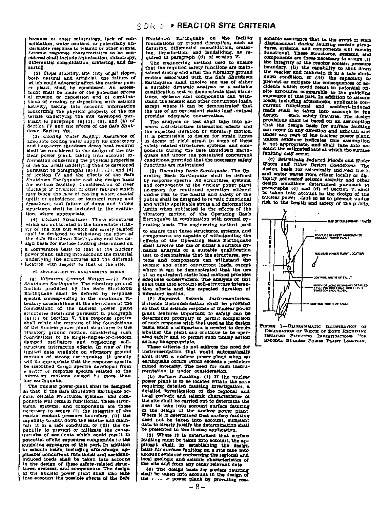because of their mineralogy, lack of consolidation, water content, or potentially un-<br>desirable response to seiamic or other events. Seismic response characteristics to be considered chall include liquefaction, thirotropy, differential consolidation, cratering, and fissuring.

(2) Slope stability. Str. ility of all slopes, both natural and artificial, the fallurs of which could adversely affect the nuclear power plant, shell be considered. An assessment shall be considered. An assessment shall be modeled the potential effects of erosion or deposition and of combinations of erosion or deposition and of combinations activity, taking into account information concerting the physical property of the ma terials modellying the aide developed pur-<br>suant to paragraph (a) (i). (3), and (4) of<br>Section IV and the effects of the Safe Shutdown Earthquake.

(3) Cooling Water Supply, Assurance of<br>adequate cooling water supply for emergency and long-term shutdown decay heat remove shall be considered in the design of the nuclear power plant, taking into account information concerning the povelcal properties of the manerials underlying the site developed pursuant to paragraphs (a) (1), (3), and (4)<br>of section IV and the effects of the Safe Shutdown Earthquake and the design basis for surface faulting. Consideration of river blockage or diversion or other failures which may block the flow of cooling water, coastal uplift or substdence, or taunami runup and drawdown, and failure of dams and intake structures shall be included in the evaluation, where appropriate.

(4) Disjunt Structures Those structures which are not located in the immediate vicinity of the site but which are safety related shall be designed to withstand the effect of the Safe Shutdown Enringuake and the de-<br>sign basis for surface faulting determined on a comparable basis to that of the nuclear power plant, taking into account the material underlying the structures and the different location with respect to that of the site.

#### VI. APPLICATION TO ENGINEERING DERIGE

(a) Vibratory Ground Motton .- (1) Sale Shuidown Earthquake The vibratory ground Earthquake shall be defined by response spectra corresponding to the maximum vibratory accelerations at the elevations of the foundations of the nuclear power plant<br>structures determine pursuant to paragraph<br>(a)(1) of Section V. The response spectra shall relate the response of the foundations of the nuclear power plant structures to the sthratory ground motion, considering such foundations to be single-degree-of-freedom damped oscillators and neglecting soil-<br>atructure interaction effects. In view of the squere interactions consider the constraints of a strategy ground<br>motions of strong earthquakes, it usually<br>will be appropriate that the response spectra be smoothed design spectra developed from s series or response spectra related to the vibratory motions caused by more than one earthquake

The uuclear power-plant shall be designed<br>ao that. If the Safe Shutdown Earthqake occurs, certain structures, systems, and com-<br>nonents will remain functional. These structures, systems, and components are those necessary to assure (i) the integrity of the reactor coolant pressure boundary. (ii) the capability to shut down the reactor and maintair it in a safe condition, or (Bi) the capability to prevent or mitigate the consequences of accidents which could result in potential offsite exposures comparable to the guideline exposures of this part, In addition to seismic loids, including aftershooks, applicable concurrent functional and accident-<br>induced loads ahall be taken into account in the design of these safety-related structures, systems, and componence. The design of the nuclear power plant shall also take

Shutdown Earthquake on the facility foundations by ground disruption, such as roundations by ground disruption, such as<br>fissuring, differential concoldation, orabit-<br>ing, ilquefaction, and landsliding, as re-<br>quired in paragraph (d) of section V.

The engineering method used to snaure that the required safety functions are maintained during and after the vibratory ground motion assoc'ated with the Safe Shutdown Earthquese shall involve the use of either a suitable dynamic analysis or a suitable qualification test to demonstrate that structuras, systems and components can withstand the selemic and other concurrent loads, except where it can be demonstrated that the use of an equivalent static load method provides adequate conservatism.

The analysis or test ahall take into account soil-structure interaction effects and the expected duration of vibratory motion. It is permissible to design for strain limits in excess of yield strain in some of these safety-related structures, systems, and components during the Safe Shutdown Earthquake and under the postulated concurrent conditions, provided that the necessary safety functions are maintained.

(2) Operating Basis Earthquake. The Operating Basis Earthquake shall be defined by response spectra. All structures, systems. and components of the nuclear power plant necessary for continued operation without undue risk to the health and safety of the<br>public shall be designed to renain functional and within applicable stress and deformation limits when subjected to the effects of the vibratory motion of the Operating Basis Earthquake in combination with normal operating loads. The engineering method used to ensure that these structures, systems, and components are capable of withstanding the effects of the Operating Basis Earthquake shall involve the use of cither a suitable dyhanic analysis or a suitable qualification tems and components can withstand the seismic and other concurrent loads, except where it can be demonstrated that the use of an equivalent static load method provides adequate conservatism. The analysis or test<br>shall take into account soll-structure interaction effects and the expected duration of vibratory motion.

(2) Heguired Seismio Instrumentation. Suitable instrumentation shall be provided so that the selemic response of nuclear power plant features important to safety can be<br>determined promptly to permit comparison<br>of such response with that used as the design basis. Such a comparison is needed to decide whether the plant can continue to be operated safely and to permit such timely action as may be appropriate.

These criteria do not address the need for instrumentation that would automatically abut down a nuclear power plant when an mined intensity. The need for such instrumentation is under consideration.

(b) Surface Faulting. (1) If the nuclear power plant is to be located within the sone requiring detailed faulting investigation, a detailed investigation of the regional and local geologic and seizub characteristics of the site shall be carried out to determine the need to take into account surface faulting in the design of the nuclear power plant. Where it is determined that surface faulting need not be taken into account, sufficient data to clearly justify the determination shall be presented in the license application.

(3) Where it is determined that surface faulting must be taken into account, the applicant shall, in establishing the design account evidence conterning the regional and local geologic and seismic characteristics of the site and from any other relevant date.

(3) The dosign basis for surface faulting<br>shall be taken into account in the design of the reason power plant by provaling rea-

sonable assurance that in the event of such displacement during faulting certain structures, systems, and components will remain functional. These structures, systems, and components are those necessary to assure (i) the integrity of the reactor coolant pressure boundary, (ii) the capability to shut down the reactor and maintain it in a safe shutdown condition, or (iii) the capability to prevent or mitigate the consequences of acpressure of multiple the consequences of ac-<br>cidents which could result in potential off-<br>site amosures comparable to the guideline<br>exposures of this part. In addition to selemin spowers or the pare. In sections to sensite locals, including atternional and accident-induced roads shall be taken into account in the design such assety features. The design provisions shall be based on an assumption that the design basis for surface faulting can occur in any direction and azimuth and under any part of the nuclear power plant, unless evidence indicates this assumption count the estimated rate at which the surface faulting may occur.

(c) Selemically Induced Floods and Water Waves and Other Design Conditions. The design basis for seismically indeped for a comes for whose form either locally or distance and water waves from either locally or distance of starting generated seign conditions determined pursuant to design conditions determined pursuant to pursuant to a set of th be taken into account in the design of the nuclear power dant so as to prevent undivertisk to the health and safety of the public.



FIGURE 1-DIAGRAMMATIC ILLUSTRATION OF DELINEATION OF WIDTH OF ZONE REQUIRING DETAILED PAULTING INVESTGATIONS VOR SPECIFIC NUCLEAR POWER PLANT LOCATION.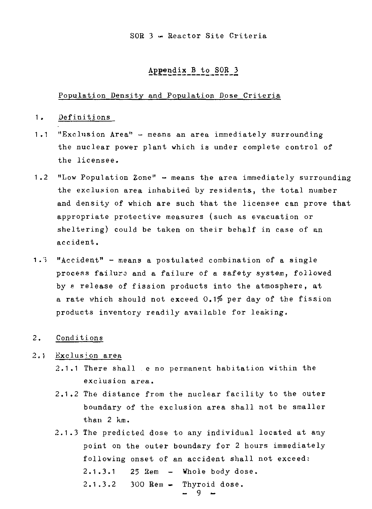SOR 3 - Reactor Site Criteria

# Appendix  $B$  to SOR 3

### Population Density and Population Dose Criteria

- 1. Definitions
- 1.1 "Exclusion Area" means an area immediately surrounding the nuclear power plant which is under complete control of the licensee.
- 1.2 "Low Population Zone" means the area immediately surrounding the exclusion area inhabited by residents, the total number and density of which are such that the licensee can prove that appropriate protective measures (such as evacuation or sheltering) could be taken on their behalf in case of an accident.
- 1.3 "Accident" means a postulated combination of a single process failure and a failure of a safety system, followed by a release of fission products into the atmosphere, at a rate which should not exceed 0.1% per day of the fission products inventory readily available for leaking.

### 2. Conditions

### 2.1 Exclusion area

- 2.1.1 There shall . e no permanent habitation within the exclusion area.
- 2.1.2 The distance from the nuclear facility to the outer boundary of the exclusion area shall not be smaller than 2 km.
- 2.1.3 The predicted dose to any individual located at any point on the outer boundary for 2 hours immediately following onset of an accident shall not exceed:  $2.1.3.1$   $25$   $Rem$  - Whole body dose. 2.1.3.2 300 Rem - Thyroid dose. **g**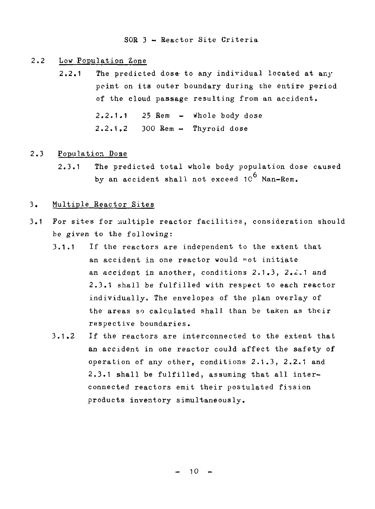### 2.2 Low Population Zone

2.2.1 The predicted dose- to any individual located at any point on its outer boundary during che entire period of the cloud passage resulting from an accident.  $2.2.1.1$   $25$  Rem  $-$  Whole body dose  $2.2.1.2$  300 Rem  $-$  Thyroid dose

### 2 .3 Population Dose

2.3.1 The predicted total whole body population dose caused by an accident shall not exceed  $10^6$  Man-Rem.

### 3. Multiple Reactor Sites

- 3.1 For sites for :nultiple reactor facilities, consideration should be given to the following:
	- 3.1.1 If the reactors are independent to the extent that an accident in one reactor would "ot initiate an accident in another, conditions  $2.1.3$ ,  $2.2.1$  and 2.3.1 shall be fulfilled with respect to each reactor individually. The envelopes of the plan overlay of the areas so calculated shall than be taken as their respective boundaries.
	- 3.1.2 If the reactors are interconnected to the extent that an accident in one reactor could affect the safety of operation of any other, conditions 2.1.3, 2.2.1 and 2.3.1 shall be fulfilled, assuming that all interconnected reactors emit their postulated fission products inventory simultaneously.